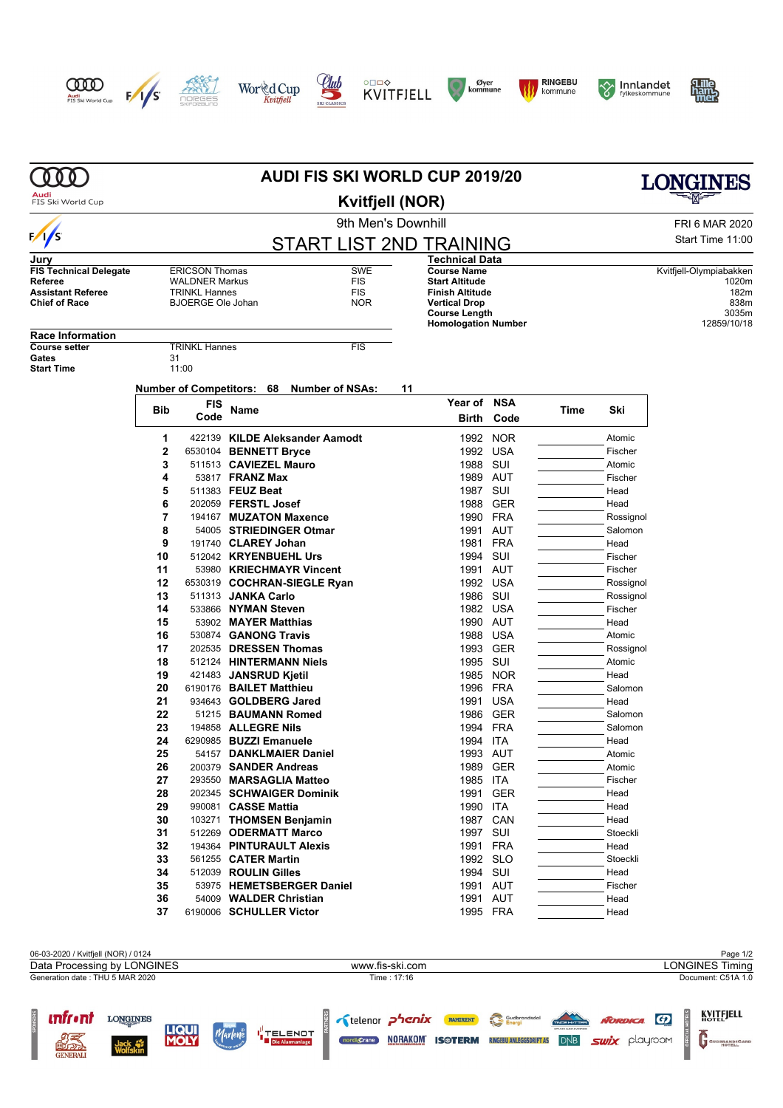















|                                                                                              | <b>AUDI FIS SKI WORLD CUP 2019/20</b>                                                              |                                  |                      |                                                      |    |                                                                                                                                                     |            |                  |                                        | LONGINES |  |
|----------------------------------------------------------------------------------------------|----------------------------------------------------------------------------------------------------|----------------------------------|----------------------|------------------------------------------------------|----|-----------------------------------------------------------------------------------------------------------------------------------------------------|------------|------------------|----------------------------------------|----------|--|
| Audi<br>FIS Ski World Cup                                                                    | <b>Kvitfjell (NOR)</b>                                                                             |                                  |                      |                                                      |    |                                                                                                                                                     |            |                  |                                        |          |  |
|                                                                                              | 9th Men's Downhill                                                                                 |                                  |                      |                                                      |    |                                                                                                                                                     |            |                  | FRI 6 MAR 2020                         |          |  |
| $\sqrt{2}$                                                                                   | START LIST 2ND TRAINING                                                                            |                                  |                      |                                                      |    |                                                                                                                                                     |            | Start Time 11:00 |                                        |          |  |
| Jury                                                                                         |                                                                                                    |                                  |                      |                                                      |    | <b>Technical Data</b>                                                                                                                               |            |                  |                                        |          |  |
| <b>FIS Technical Delegate</b><br>Referee<br><b>Assistant Referee</b><br><b>Chief of Race</b> | <b>ERICSON Thomas</b><br><b>WALDNER Markus</b><br><b>TRINKL Hannes</b><br><b>BJOERGE Ole Johan</b> |                                  |                      | <b>SWE</b><br><b>FIS</b><br><b>FIS</b><br><b>NOR</b> |    | <b>Course Name</b><br><b>Start Altitude</b><br><b>Finish Altitude</b><br><b>Vertical Drop</b><br><b>Course Length</b><br><b>Homologation Number</b> |            |                  | Kvitfjell-Olympiabakken<br>12859/10/18 |          |  |
| <b>Race Information</b>                                                                      |                                                                                                    |                                  |                      |                                                      |    |                                                                                                                                                     |            |                  |                                        |          |  |
| <b>Course setter</b>                                                                         |                                                                                                    | <b>TRINKL Hannes</b>             |                      | <b>FIS</b>                                           |    |                                                                                                                                                     |            |                  |                                        |          |  |
| Gates<br><b>Start Time</b>                                                                   | 31                                                                                                 | 11:00                            |                      |                                                      |    |                                                                                                                                                     |            |                  |                                        |          |  |
|                                                                                              |                                                                                                    | <b>Number of Competitors: 68</b> |                      | <b>Number of NSAs:</b>                               | 11 |                                                                                                                                                     |            |                  |                                        |          |  |
|                                                                                              |                                                                                                    | FIS                              |                      |                                                      |    | Year of                                                                                                                                             | <b>NSA</b> |                  |                                        |          |  |
|                                                                                              | Bib                                                                                                | Code                             | Name                 |                                                      |    | Birth                                                                                                                                               | Code       | Time             | Ski                                    |          |  |
|                                                                                              | 1                                                                                                  |                                  |                      | 422139 KILDE Aleksander Aamodt                       |    | 1992                                                                                                                                                | <b>NOR</b> |                  | Atomic                                 |          |  |
|                                                                                              | 2                                                                                                  |                                  |                      | 6530104 BENNETT Bryce                                |    |                                                                                                                                                     | 1992 USA   |                  | Fischer                                |          |  |
|                                                                                              | 3                                                                                                  |                                  |                      | 511513 CAVIEZEL Mauro                                |    | 1988                                                                                                                                                | SUI        |                  | Atomic                                 |          |  |
|                                                                                              | 4                                                                                                  |                                  | 53817 FRANZ Max      |                                                      |    | 1989                                                                                                                                                | AUT        |                  | Fischer                                |          |  |
|                                                                                              | 5                                                                                                  |                                  | 511383 FEUZ Beat     |                                                      |    | 1987                                                                                                                                                | SUI        |                  | Head                                   |          |  |
|                                                                                              | 6                                                                                                  |                                  | 202059 FERSTL Josef  |                                                      |    | 1988                                                                                                                                                | <b>GER</b> |                  | Head                                   |          |  |
|                                                                                              | 7                                                                                                  |                                  |                      | 194167 MUZATON Maxence                               |    | 1990                                                                                                                                                | FRA        |                  | Rossignol                              |          |  |
|                                                                                              | 8                                                                                                  |                                  |                      | 54005 STRIEDINGER Otmar                              |    | 1991                                                                                                                                                | AUT        |                  | Salomon                                |          |  |
|                                                                                              | 9                                                                                                  |                                  | 191740 CLAREY Johan  |                                                      |    | 1981                                                                                                                                                | FRA        |                  | Head                                   |          |  |
|                                                                                              | 10                                                                                                 |                                  |                      | 512042 KRYENBUEHL Urs                                |    | 1994                                                                                                                                                | SUI        |                  | Fischer                                |          |  |
|                                                                                              | 11                                                                                                 |                                  |                      | 53980 KRIECHMAYR Vincent                             |    | 1991                                                                                                                                                | AUT        |                  | Fischer                                |          |  |
|                                                                                              | 12                                                                                                 |                                  |                      | 6530319 COCHRAN-SIEGLE Ryan                          |    |                                                                                                                                                     | 1992 USA   |                  | Rossignol                              |          |  |
|                                                                                              | 13                                                                                                 |                                  | 511313 JANKA Carlo   |                                                      |    | 1986 SUI                                                                                                                                            |            |                  | Rossignol                              |          |  |
|                                                                                              | 14                                                                                                 |                                  | 533866 NYMAN Steven  |                                                      |    |                                                                                                                                                     | 1982 USA   |                  | Fischer                                |          |  |
|                                                                                              | 15                                                                                                 |                                  |                      | 53902 MAYER Matthias                                 |    | 1990                                                                                                                                                | AUT        |                  | Head                                   |          |  |
|                                                                                              | 16                                                                                                 |                                  |                      | 530874 GANONG Travis                                 |    | 1988                                                                                                                                                | USA        |                  | Atomic                                 |          |  |
|                                                                                              | 17                                                                                                 |                                  |                      | 202535 DRESSEN Thomas                                |    | 1993                                                                                                                                                | <b>GER</b> |                  | Rossignol                              |          |  |
|                                                                                              | 18                                                                                                 |                                  |                      | 512124 HINTERMANN Niels                              |    | 1995                                                                                                                                                | SUI        |                  | Atomic                                 |          |  |
|                                                                                              | 19                                                                                                 |                                  |                      | 421483 JANSRUD Kjetil                                |    | 1985                                                                                                                                                | <b>NOR</b> |                  | Head                                   |          |  |
|                                                                                              | 20                                                                                                 |                                  |                      | 6190176 BAILET Matthieu                              |    | 1996                                                                                                                                                | FRA        |                  | Salomon                                |          |  |
|                                                                                              | 21                                                                                                 |                                  |                      | 934643 GOLDBERG Jared                                |    | 1991                                                                                                                                                | <b>USA</b> |                  | Head                                   |          |  |
|                                                                                              | 22                                                                                                 |                                  |                      | 51215 BAUMANN Romed                                  |    | 1986                                                                                                                                                | <b>GER</b> |                  | Salomon                                |          |  |
|                                                                                              | 23                                                                                                 |                                  | 194858 ALLEGRE Nils  |                                                      |    |                                                                                                                                                     | 1994 FRA   |                  | Salomon                                |          |  |
|                                                                                              | 24                                                                                                 |                                  |                      | 6290985 BUZZI Emanuele                               |    | 1994 ITA                                                                                                                                            |            |                  | Head                                   |          |  |
|                                                                                              | 25                                                                                                 |                                  |                      | 54157 DANKLMAIER Daniel                              |    |                                                                                                                                                     | 1993 AUT   |                  | Atomic                                 |          |  |
|                                                                                              | 26                                                                                                 |                                  |                      | 200379 SANDER Andreas                                |    |                                                                                                                                                     | 1989 GER   |                  | Atomic                                 |          |  |
|                                                                                              | 27                                                                                                 |                                  |                      | 293550 MARSAGLIA Matteo                              |    | 1985 ITA                                                                                                                                            |            |                  | Fischer                                |          |  |
|                                                                                              | 28                                                                                                 |                                  |                      | 202345 SCHWAIGER Dominik                             |    |                                                                                                                                                     | 1991 GER   |                  | Head                                   |          |  |
|                                                                                              | 29                                                                                                 |                                  | 990081 CASSE Mattia  |                                                      |    | 1990 ITA                                                                                                                                            |            |                  | Head                                   |          |  |
|                                                                                              | 30                                                                                                 |                                  |                      | 103271 THOMSEN Benjamin                              |    | 1987                                                                                                                                                | CAN        |                  | Head                                   |          |  |
|                                                                                              | 31                                                                                                 |                                  |                      | 512269 ODERMATT Marco                                |    | 1997 SUI                                                                                                                                            |            |                  | Stoeckli                               |          |  |
|                                                                                              | 32                                                                                                 |                                  |                      | 194364 PINTURAULT Alexis                             |    |                                                                                                                                                     | 1991 FRA   |                  | Head                                   |          |  |
|                                                                                              | 33                                                                                                 |                                  | 561255 CATER Martin  |                                                      |    |                                                                                                                                                     | 1992 SLO   |                  | Stoeckli                               |          |  |
|                                                                                              | 34                                                                                                 |                                  | 512039 ROULIN Gilles |                                                      |    | 1994 SUI                                                                                                                                            |            |                  | Head                                   |          |  |
|                                                                                              | 35                                                                                                 |                                  |                      | 53975 HEMETSBERGER Daniel                            |    |                                                                                                                                                     | 1991 AUT   |                  | Fischer                                |          |  |
|                                                                                              | 36                                                                                                 |                                  |                      | 54009 WALDER Christian                               |    |                                                                                                                                                     | 1991 AUT   |                  | Head                                   |          |  |
|                                                                                              | 37                                                                                                 |                                  |                      | 6190006 SCHULLER Victor                              |    |                                                                                                                                                     | 1995 FRA   |                  | Head                                   |          |  |